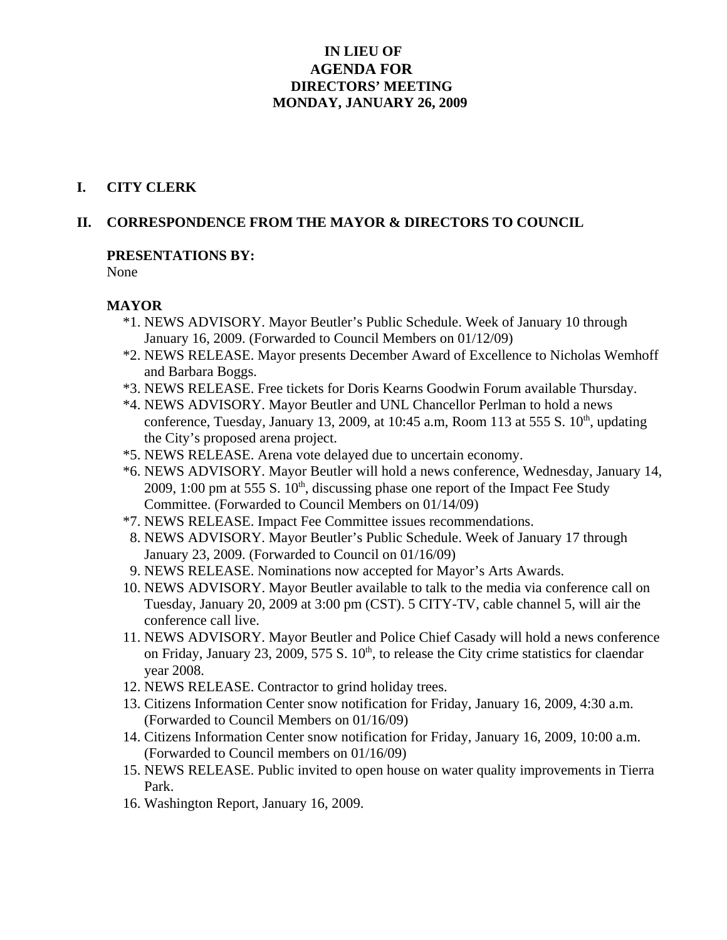## **IN LIEU OF AGENDA FOR DIRECTORS' MEETING MONDAY, JANUARY 26, 2009**

#### **I. CITY CLERK**

#### **II. CORRESPONDENCE FROM THE MAYOR & DIRECTORS TO COUNCIL**

#### **PRESENTATIONS BY:**

None

#### **MAYOR**

- \*1. NEWS ADVISORY. Mayor Beutler's Public Schedule. Week of January 10 through January 16, 2009. (Forwarded to Council Members on 01/12/09)
- \*2. NEWS RELEASE. Mayor presents December Award of Excellence to Nicholas Wemhoff and Barbara Boggs.
- \*3. NEWS RELEASE. Free tickets for Doris Kearns Goodwin Forum available Thursday.
- \*4. NEWS ADVISORY. Mayor Beutler and UNL Chancellor Perlman to hold a news conference, Tuesday, January 13, 2009, at 10:45 a.m, Room 113 at 555 S.  $10<sup>th</sup>$ , updating the City's proposed arena project.
- \*5. NEWS RELEASE. Arena vote delayed due to uncertain economy.
- \*6. NEWS ADVISORY. Mayor Beutler will hold a news conference, Wednesday, January 14, 2009, 1:00 pm at 555 S.  $10<sup>th</sup>$ , discussing phase one report of the Impact Fee Study Committee. (Forwarded to Council Members on 01/14/09)
- \*7. NEWS RELEASE. Impact Fee Committee issues recommendations.
- 8. NEWS ADVISORY. Mayor Beutler's Public Schedule. Week of January 17 through January 23, 2009. (Forwarded to Council on 01/16/09)
- 9. NEWS RELEASE. Nominations now accepted for Mayor's Arts Awards.
- 10. NEWS ADVISORY. Mayor Beutler available to talk to the media via conference call on Tuesday, January 20, 2009 at 3:00 pm (CST). 5 CITY-TV, cable channel 5, will air the conference call live.
- 11. NEWS ADVISORY. Mayor Beutler and Police Chief Casady will hold a news conference on Friday, January 23, 2009, 575 S.  $10<sup>th</sup>$ , to release the City crime statistics for claendar year 2008.
- 12. NEWS RELEASE. Contractor to grind holiday trees.
- 13. Citizens Information Center snow notification for Friday, January 16, 2009, 4:30 a.m. (Forwarded to Council Members on 01/16/09)
- 14. Citizens Information Center snow notification for Friday, January 16, 2009, 10:00 a.m. (Forwarded to Council members on 01/16/09)
- 15. NEWS RELEASE. Public invited to open house on water quality improvements in Tierra Park.
- 16. Washington Report, January 16, 2009.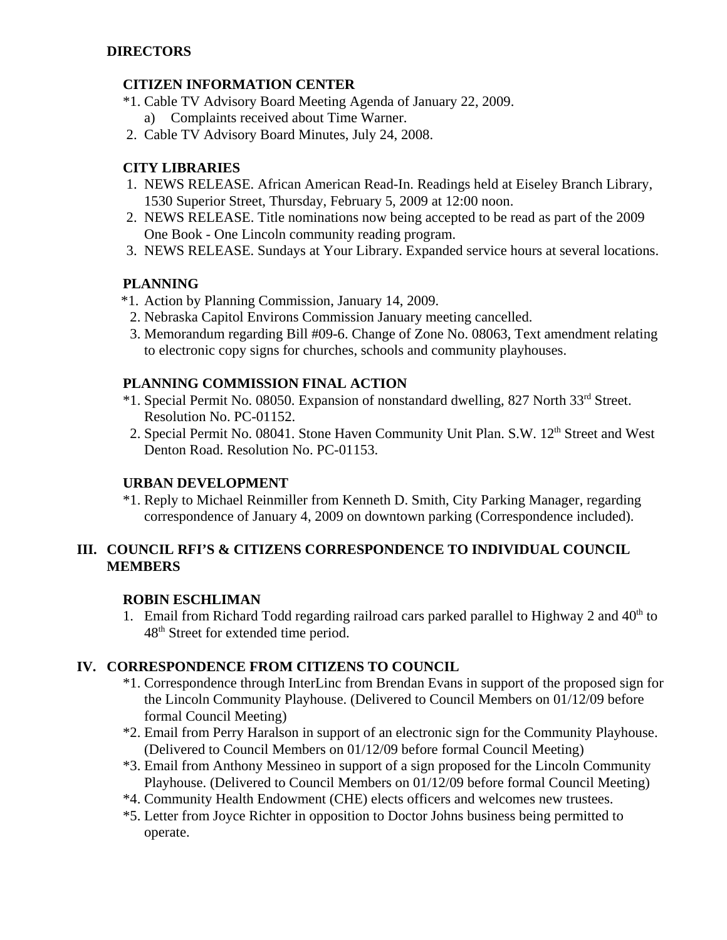## **CITIZEN INFORMATION CENTER**

- \*1. Cable TV Advisory Board Meeting Agenda of January 22, 2009. a) Complaints received about Time Warner.
- 2. Cable TV Advisory Board Minutes, July 24, 2008.

## **CITY LIBRARIES**

- 1. NEWS RELEASE. African American Read-In. Readings held at Eiseley Branch Library, 1530 Superior Street, Thursday, February 5, 2009 at 12:00 noon.
- 2. NEWS RELEASE. Title nominations now being accepted to be read as part of the 2009 One Book - One Lincoln community reading program.
- 3. NEWS RELEASE. Sundays at Your Library. Expanded service hours at several locations.

## **PLANNING**

- \*1. Action by Planning Commission, January 14, 2009.
- 2. Nebraska Capitol Environs Commission January meeting cancelled.
- 3. Memorandum regarding Bill #09-6. Change of Zone No. 08063, Text amendment relating to electronic copy signs for churches, schools and community playhouses.

## **PLANNING COMMISSION FINAL ACTION**

- \*1. Special Permit No. 08050. Expansion of nonstandard dwelling, 827 North 33rd Street. Resolution No. PC-01152.
- 2. Special Permit No. 08041. Stone Haven Community Unit Plan. S.W. 12<sup>th</sup> Street and West Denton Road. Resolution No. PC-01153.

## **URBAN DEVELOPMENT**

\*1. Reply to Michael Reinmiller from Kenneth D. Smith, City Parking Manager, regarding correspondence of January 4, 2009 on downtown parking (Correspondence included).

## **III. COUNCIL RFI'S & CITIZENS CORRESPONDENCE TO INDIVIDUAL COUNCIL MEMBERS**

#### **ROBIN ESCHLIMAN**

1. Email from Richard Todd regarding railroad cars parked parallel to Highway 2 and  $40<sup>th</sup>$  to 48<sup>th</sup> Street for extended time period.

## **IV. CORRESPONDENCE FROM CITIZENS TO COUNCIL**

- \*1. Correspondence through InterLinc from Brendan Evans in support of the proposed sign for the Lincoln Community Playhouse. (Delivered to Council Members on 01/12/09 before formal Council Meeting)
- \*2. Email from Perry Haralson in support of an electronic sign for the Community Playhouse. (Delivered to Council Members on 01/12/09 before formal Council Meeting)
- \*3. Email from Anthony Messineo in support of a sign proposed for the Lincoln Community Playhouse. (Delivered to Council Members on 01/12/09 before formal Council Meeting)
- \*4. Community Health Endowment (CHE) elects officers and welcomes new trustees.
- \*5. Letter from Joyce Richter in opposition to Doctor Johns business being permitted to operate.